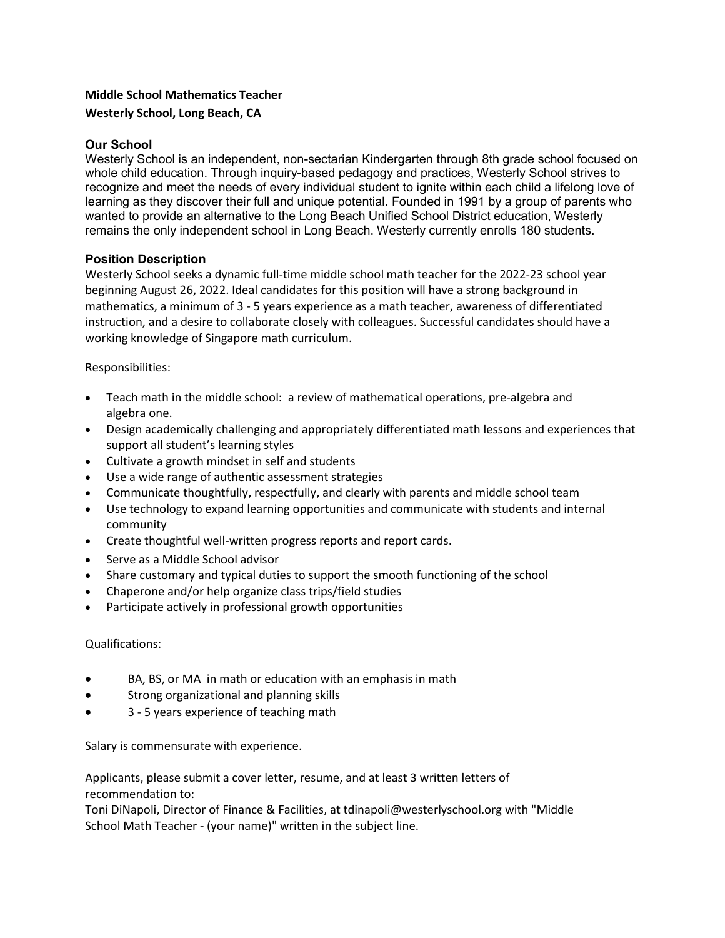# Middle School Mathematics Teacher Westerly School, Long Beach, CA

# Our School

Westerly School is an independent, non-sectarian Kindergarten through 8th grade school focused on whole child education. Through inquiry-based pedagogy and practices, Westerly School strives to recognize and meet the needs of every individual student to ignite within each child a lifelong love of learning as they discover their full and unique potential. Founded in 1991 by a group of parents who wanted to provide an alternative to the Long Beach Unified School District education, Westerly remains the only independent school in Long Beach. Westerly currently enrolls 180 students.

### Position Description

Westerly School seeks a dynamic full-time middle school math teacher for the 2022-23 school year beginning August 26, 2022. Ideal candidates for this position will have a strong background in mathematics, a minimum of 3 - 5 years experience as a math teacher, awareness of differentiated instruction, and a desire to collaborate closely with colleagues. Successful candidates should have a working knowledge of Singapore math curriculum.

# Responsibilities:

- Teach math in the middle school: a review of mathematical operations, pre-algebra and algebra one.
- Design academically challenging and appropriately differentiated math lessons and experiences that support all student's learning styles
- Cultivate a growth mindset in self and students
- Use a wide range of authentic assessment strategies
- Communicate thoughtfully, respectfully, and clearly with parents and middle school team
- Use technology to expand learning opportunities and communicate with students and internal community
- Create thoughtful well-written progress reports and report cards.
- Serve as a Middle School advisor
- Share customary and typical duties to support the smooth functioning of the school
- Chaperone and/or help organize class trips/field studies
- Participate actively in professional growth opportunities

### Qualifications:

- BA, BS, or MA in math or education with an emphasis in math
- **•** Strong organizational and planning skills
- 3 5 years experience of teaching math

Salary is commensurate with experience.

Applicants, please submit a cover letter, resume, and at least 3 written letters of recommendation to:

Toni DiNapoli, Director of Finance & Facilities, at tdinapoli@westerlyschool.org with "Middle School Math Teacher - (your name)" written in the subject line.